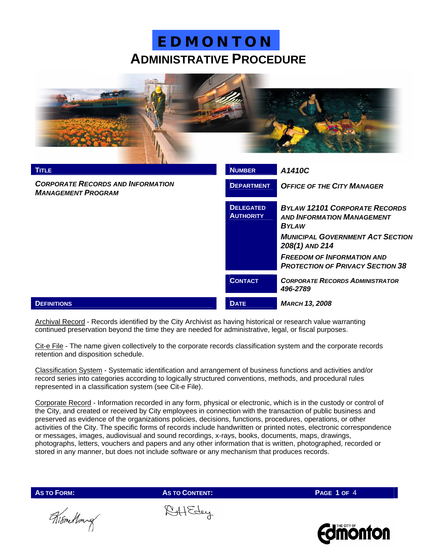

| <b>TITLE</b>                                                          | <b>NUMBER</b>                        | A1410C                                                                                    |  |
|-----------------------------------------------------------------------|--------------------------------------|-------------------------------------------------------------------------------------------|--|
| <b>CORPORATE RECORDS AND INFORMATION</b><br><b>MANAGEMENT PROGRAM</b> | <b>DEPARTMENT</b>                    | <b>OFFICE OF THE CITY MANAGER</b>                                                         |  |
|                                                                       | <b>DELEGATED</b><br><b>AUTHORITY</b> | <b>BYLAW 12101 CORPORATE RECORDS</b><br><b>AND INFORMATION MANAGEMENT</b><br><b>BYLAW</b> |  |
|                                                                       |                                      | <b>MUNICIPAL GOVERNMENT ACT SECTION</b><br>208(1) AND 214                                 |  |
|                                                                       |                                      | <b>FREEDOM OF INFORMATION AND</b><br><b>PROTECTION OF PRIVACY SECTION 38</b>              |  |
|                                                                       | <b>CONTACT</b>                       | <b>CORPORATE RECORDS ADMINISTRATOR</b><br>496-2789                                        |  |
| <b>DEFINITIONS</b>                                                    | <b>DATE</b>                          | <b>MARCH 13, 2008</b>                                                                     |  |

Archival Record - Records identified by the City Archivist as having historical or research value warranting continued preservation beyond the time they are needed for administrative, legal, or fiscal purposes.

Cit-e File - The name given collectively to the corporate records classification system and the corporate records retention and disposition schedule.

Classification System - Systematic identification and arrangement of business functions and activities and/or record series into categories according to logically structured conventions, methods, and procedural rules represented in a classification system (see Cit-e File).

Corporate Record - Information recorded in any form, physical or electronic, which is in the custody or control of the City, and created or received by City employees in connection with the transaction of public business and preserved as evidence of the organizations policies, decisions, functions, procedures, operations, or other activities of the City. The specific forms of records include handwritten or printed notes, electronic correspondence or messages, images, audiovisual and sound recordings, x-rays, books, documents, maps, drawings, photographs, letters, vouchers and papers and any other information that is written, photographed, recorded or stored in any manner, but does not include software or any mechanism that produces records.

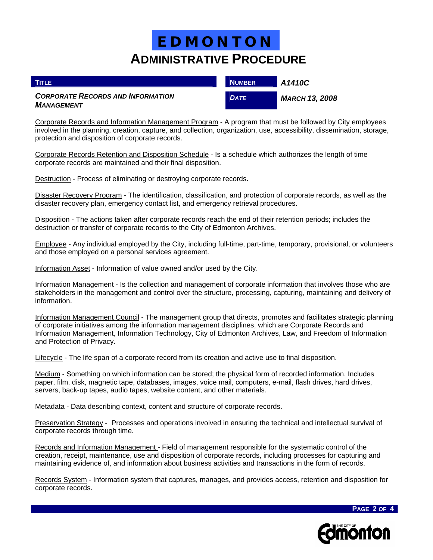| <b>TITLE</b>                                                  | <b>NUMBER</b> | A1410C                |
|---------------------------------------------------------------|---------------|-----------------------|
| <b>CORPORATE RECORDS AND INFORMATION</b><br><b>MANAGEMENT</b> | <b>DATE</b>   | <b>MARCH 13, 2008</b> |

Corporate Records and Information Management Program - A program that must be followed by City employees involved in the planning, creation, capture, and collection, organization, use, accessibility, dissemination, storage, protection and disposition of corporate records.

Corporate Records Retention and Disposition Schedule - Is a schedule which authorizes the length of time corporate records are maintained and their final disposition.

Destruction - Process of eliminating or destroying corporate records.

Disaster Recovery Program - The identification, classification, and protection of corporate records, as well as the disaster recovery plan, emergency contact list, and emergency retrieval procedures.

Disposition - The actions taken after corporate records reach the end of their retention periods; includes the destruction or transfer of corporate records to the City of Edmonton Archives.

Employee - Any individual employed by the City, including full-time, part-time, temporary, provisional, or volunteers and those employed on a personal services agreement.

Information Asset - Information of value owned and/or used by the City.

Information Management - Is the collection and management of corporate information that involves those who are stakeholders in the management and control over the structure, processing, capturing, maintaining and delivery of information.

Information Management Council - The management group that directs, promotes and facilitates strategic planning of corporate initiatives among the information management disciplines, which are Corporate Records and Information Management, Information Technology, City of Edmonton Archives, Law, and Freedom of Information and Protection of Privacy.

Lifecycle - The life span of a corporate record from its creation and active use to final disposition.

Medium - Something on which information can be stored; the physical form of recorded information. Includes paper, film, disk, magnetic tape, databases, images, voice mail, computers, e-mail, flash drives, hard drives, servers, back-up tapes, audio tapes, website content, and other materials.

Metadata - Data describing context, content and structure of corporate records.

Preservation Strategy - Processes and operations involved in ensuring the technical and intellectual survival of corporate records through time.

Records and Information Management - Field of management responsible for the systematic control of the creation, receipt, maintenance, use and disposition of corporate records, including processes for capturing and maintaining evidence of, and information about business activities and transactions in the form of records.

Records System - Information system that captures, manages, and provides access, retention and disposition for corporate records.



**PAGE 2 OF 4**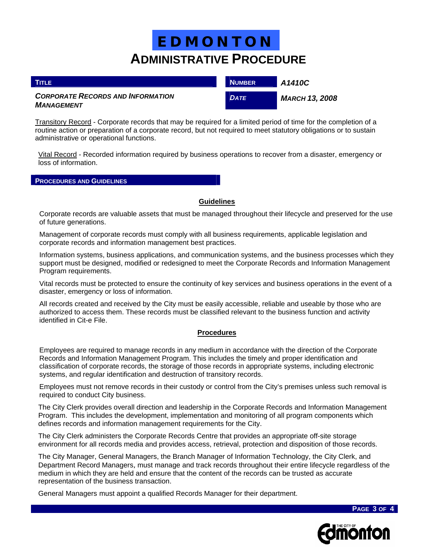| <b>TITLE</b>                                                         | <b>NUMBER</b> | A1410C                |
|----------------------------------------------------------------------|---------------|-----------------------|
| <b>CORPORATE RECORDS AND INFORMATION</b><br><i><b>MANAGEMENT</b></i> | <b>DATE</b>   | <b>MARCH 13, 2008</b> |

Transitory Record - Corporate records that may be required for a limited period of time for the completion of a routine action or preparation of a corporate record, but not required to meet statutory obligations or to sustain administrative or operational functions.

Vital Record - Recorded information required by business operations to recover from a disaster, emergency or loss of information.

#### **PROCEDURES AND GUIDELINES**

### **Guidelines**

Corporate records are valuable assets that must be managed throughout their lifecycle and preserved for the use of future generations.

Management of corporate records must comply with all business requirements, applicable legislation and corporate records and information management best practices.

Information systems, business applications, and communication systems, and the business processes which they support must be designed, modified or redesigned to meet the Corporate Records and Information Management Program requirements.

Vital records must be protected to ensure the continuity of key services and business operations in the event of a disaster, emergency or loss of information.

All records created and received by the City must be easily accessible, reliable and useable by those who are authorized to access them. These records must be classified relevant to the business function and activity identified in Cit-e File.

#### **Procedures**

 Employees are required to manage records in any medium in accordance with the direction of the Corporate Records and Information Management Program. This includes the timely and proper identification and classification of corporate records, the storage of those records in appropriate systems, including electronic systems, and regular identification and destruction of transitory records.

 Employees must not remove records in their custody or control from the City's premises unless such removal is required to conduct City business.

The City Clerk provides overall direction and leadership in the Corporate Records and Information Management Program. This includes the development, implementation and monitoring of all program components which defines records and information management requirements for the City.

The City Clerk administers the Corporate Records Centre that provides an appropriate off-site storage environment for all records media and provides access, retrieval, protection and disposition of those records.

The City Manager, General Managers, the Branch Manager of Information Technology, the City Clerk, and Department Record Managers, must manage and track records throughout their entire lifecycle regardless of the medium in which they are held and ensure that the content of the records can be trusted as accurate representation of the business transaction.

General Managers must appoint a qualified Records Manager for their department.



**PAGE 3 OF 4**